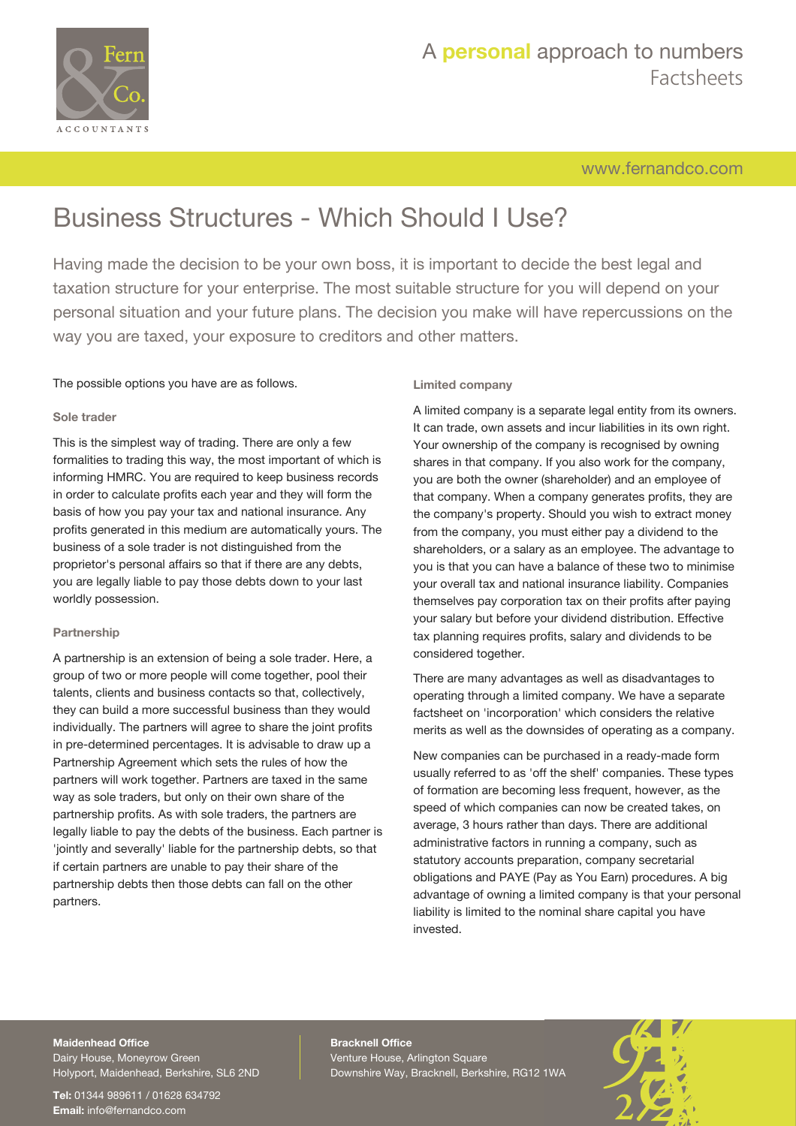

### A **personal** approach to numbers Factsheets

[www.fernandco.com](http://www.fernandco.com)

# Business Structures - Which Should I Use?

Having made the decision to be your own boss, it is important to decide the best legal and taxation structure for your enterprise. The most suitable structure for you will depend on your personal situation and your future plans. The decision you make will have repercussions on the way you are taxed, your exposure to creditors and other matters.

The possible options you have are as follows.

### **Sole trader**

This is the simplest way of trading. There are only a few formalities to trading this way, the most important of which is informing HMRC. You are required to keep business records in order to calculate profits each year and they will form the basis of how you pay your tax and national insurance. Any profits generated in this medium are automatically yours. The business of a sole trader is not distinguished from the proprietor's personal affairs so that if there are any debts, you are legally liable to pay those debts down to your last worldly possession.

### **Partnership**

A partnership is an extension of being a sole trader. Here, a group of two or more people will come together, pool their talents, clients and business contacts so that, collectively, they can build a more successful business than they would individually. The partners will agree to share the joint profits in pre-determined percentages. It is advisable to draw up a Partnership Agreement which sets the rules of how the partners will work together. Partners are taxed in the same way as sole traders, but only on their own share of the partnership profits. As with sole traders, the partners are legally liable to pay the debts of the business. Each partner is 'jointly and severally' liable for the partnership debts, so that if certain partners are unable to pay their share of the partnership debts then those debts can fall on the other partners.

#### **Limited company**

A limited company is a separate legal entity from its owners. It can trade, own assets and incur liabilities in its own right. Your ownership of the company is recognised by owning shares in that company. If you also work for the company, you are both the owner (shareholder) and an employee of that company. When a company generates profits, they are the company's property. Should you wish to extract money from the company, you must either pay a dividend to the shareholders, or a salary as an employee. The advantage to you is that you can have a balance of these two to minimise your overall tax and national insurance liability. Companies themselves pay corporation tax on their profits after paying your salary but before your dividend distribution. Effective tax planning requires profits, salary and dividends to be considered together.

There are many advantages as well as disadvantages to operating through a limited company. We have a separate factsheet on 'incorporation' which considers the relative merits as well as the downsides of operating as a company.

New companies can be purchased in a ready-made form usually referred to as 'off the shelf' companies. These types of formation are becoming less frequent, however, as the speed of which companies can now be created takes, on average, 3 hours rather than days. There are additional administrative factors in running a company, such as statutory accounts preparation, company secretarial obligations and PAYE (Pay as You Earn) procedures. A big advantage of owning a limited company is that your personal liability is limited to the nominal share capital you have invested.

#### **Maidenhead Office**

Dairy House, Moneyrow Green Holyport, Maidenhead, Berkshire, SL6 2ND

**Tel:** 01344 989611 / 01628 634792 **Email:** [info@fernandco.com](mailto:info@fernandco.com)

**Bracknell Office** Venture House, Arlington Square Downshire Way, Bracknell, Berkshire, RG12 1WA